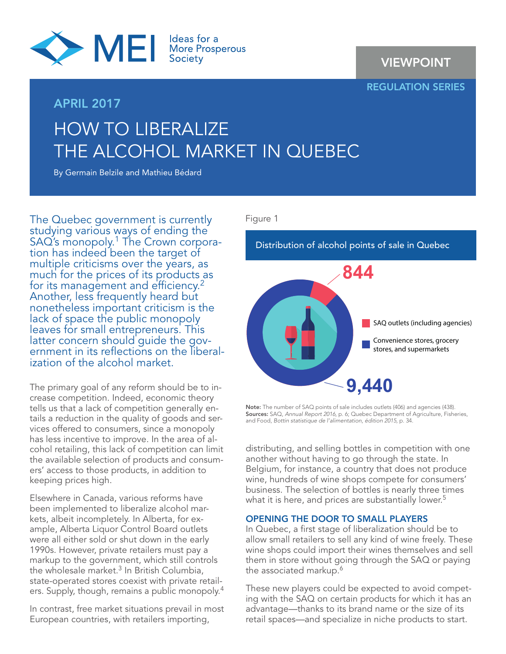

# APRIL 2017

VIEWPOINT

REGULATION SERIES

# HOW TO LIBERALIZE THE ALCOHOL MARKET IN QUEBEC

By Germain Belzile and Mathieu Bédard

The Quebec government is currently studying various ways of ending the SAQ's monopoly.<sup>1</sup> The Crown corpora-<br>tion has indeed been the target of multiple criticisms over the years, as much for the prices of its products as for its management and efficiency.<sup>2</sup> Another, less frequently heard but nonetheless important criticism is the lack of space the public monopoly leaves for small entrepreneurs. This<br>latter concern should quide the government in its reflections on the liberalization of the alcohol market.

The primary goal of any reform should be to increase competition. Indeed, economic theory tells us that a lack of competition generally entails a reduction in the quality of goods and services offered to consumers, since a monopoly has less incentive to improve. In the area of alcohol retailing, this lack of competition can limit the available selection of products and consumers' access to those products, in addition to keeping prices high.

Elsewhere in Canada, various reforms have been implemented to liberalize alcohol markets, albeit incompletely. In Alberta, for example, Alberta Liquor Control Board outlets were all either sold or shut down in the early 1990s. However, private retailers must pay a markup to the government, which still controls the wholesale market. $3$  In British Columbia, state-operated stores coexist with private retailers. Supply, though, remains a public monopoly.4

In contrast, free market situations prevail in most European countries, with retailers importing,

# Figure 1

Distribution of alcohol points of sale in Quebec



Note: The number of SAQ points of sale includes outlets (406) and agencies (438). Sources: SAQ, *Annual Report 2016*, p. 6; Quebec Department of Agriculture, Fisheries, and Food, *Bottin statistique de l'alimentation, édition 2015*, p. 34.

distributing, and selling bottles in competition with one another without having to go through the state. In Belgium, for instance, a country that does not produce wine, hundreds of wine shops compete for consumers' business. The selection of bottles is nearly three times what it is here, and prices are substantially lower.<sup>5</sup>

# OPENING THE DOOR TO SMALL PLAYERS

In Quebec, a first stage of liberalization should be to allow small retailers to sell any kind of wine freely. These wine shops could import their wines themselves and sell them in store without going through the SAQ or paying the associated markup.<sup>6</sup>

These new players could be expected to avoid competing with the SAQ on certain products for which it has an advantage—thanks to its brand name or the size of its retail spaces—and specialize in niche products to start.